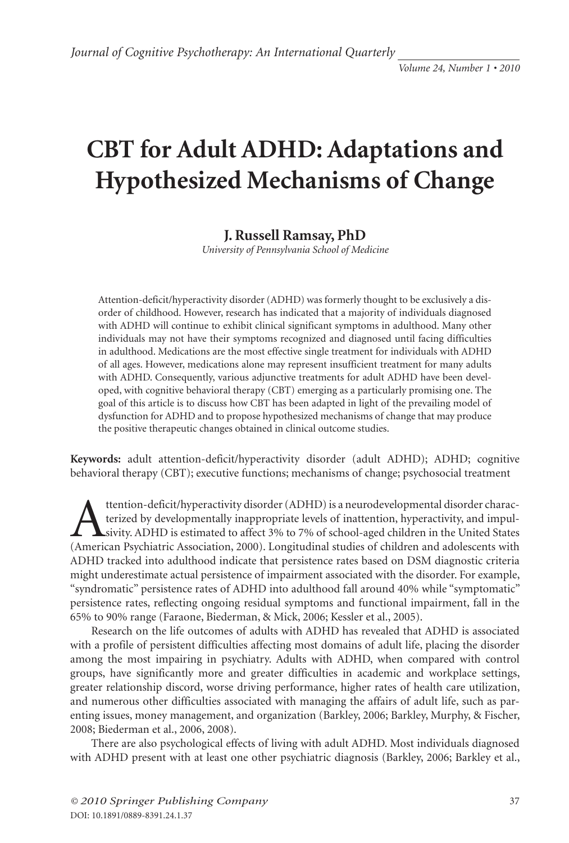*Volume 24, Number 1 • 2010*

# **CBT for Adult ADHD: Adaptations and Hypothesized Mechanisms of Change**

## **J. Russell Ramsay, PhD**

*University of Pennsylvania School of Medicine*

Attention-deficit/hyperactivity disorder (ADHD) was formerly thought to be exclusively a disorder of childhood. However, research has indicated that a majority of individuals diagnosed with ADHD will continue to exhibit clinical significant symptoms in adulthood. Many other individuals may not have their symptoms recognized and diagnosed until facing difficulties in adulthood. Medications are the most effective single treatment for individuals with ADHD of all ages. However, medications alone may represent insufficient treatment for many adults with ADHD. Consequently, various adjunctive treatments for adult ADHD have been developed, with cognitive behavioral therapy (CBT) emerging as a particularly promising one. The goal of this article is to discuss how CBT has been adapted in light of the prevailing model of dysfunction for ADHD and to propose hypothesized mechanisms of change that may produce the positive therapeutic changes obtained in clinical outcome studies.

**Keywords:** adult attention-deficit/hyperactivity disorder (adult ADHD); ADHD; cognitive behavioral therapy (CBT); executive functions; mechanisms of change; psychosocial treatment

ttention-deficit/hyperactivity disorder (ADHD) is a neurodevelopmental disorder characterized by developmentally inappropriate levels of inattention, hyperactivity, and impulsivity. ADHD is estimated to affect 3% to 7% of terized by developmentally inappropriate levels of inattention, hyperactivity, and impulsivity. ADHD is estimated to affect 3% to 7% of school-aged children in the United States (American Psychiatric Association, 2000). Longitudinal studies of children and adolescents with ADHD tracked into adulthood indicate that persistence rates based on DSM diagnostic criteria might underestimate actual persistence of impairment associated with the disorder. For example, "syndromatic" persistence rates of ADHD into adulthood fall around 40% while "symptomatic" persistence rates, reflecting ongoing residual symptoms and functional impairment, fall in the 65% to 90% range (Faraone, Biederman, & Mick, 2006; Kessler et al., 2005).

Research on the life outcomes of adults with ADHD has revealed that ADHD is associated with a profile of persistent difficulties affecting most domains of adult life, placing the disorder among the most impairing in psychiatry. Adults with ADHD, when compared with control groups, have significantly more and greater difficulties in academic and workplace settings, greater relationship discord, worse driving performance, higher rates of health care utilization, and numerous other difficulties associated with managing the affairs of adult life, such as parenting issues, money management, and organization (Barkley, 2006; Barkley, Murphy, & Fischer, 2008; Biederman et al., 2006, 2008).

There are also psychological effects of living with adult ADHD. Most individuals diagnosed with ADHD present with at least one other psychiatric diagnosis (Barkley, 2006; Barkley et al.,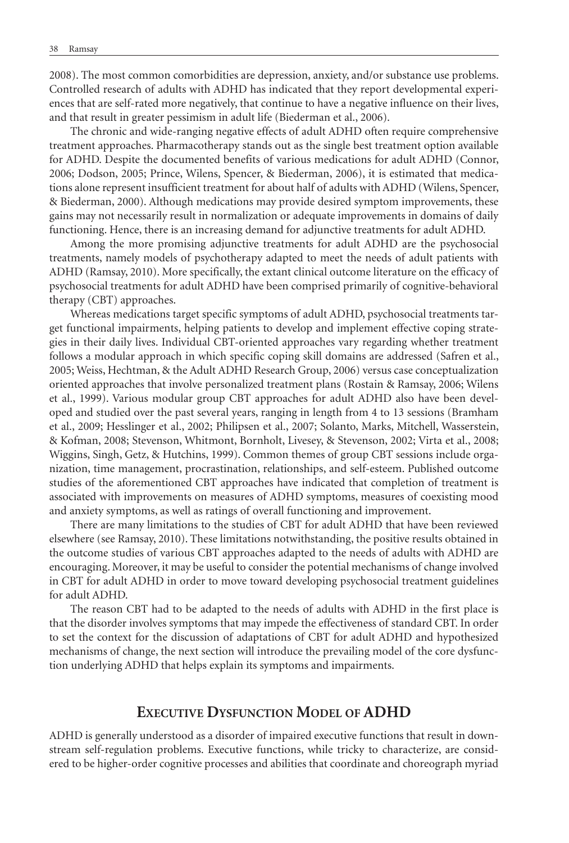2008). The most common comorbidities are depression, anxiety, and/or substance use problems. Controlled research of adults with ADHD has indicated that they report developmental experiences that are self-rated more negatively, that continue to have a negative influence on their lives, and that result in greater pessimism in adult life (Biederman et al., 2006).

The chronic and wide-ranging negative effects of adult ADHD often require comprehensive treatment approaches. Pharmacotherapy stands out as the single best treatment option available for ADHD. Despite the documented benefits of various medications for adult ADHD (Connor, 2006; Dodson, 2005; Prince, Wilens, Spencer, & Biederman, 2006), it is estimated that medications alone represent insufficient treatment for about half of adults with ADHD (Wilens, Spencer, & Biederman, 2000). Although medications may provide desired symptom improvements, these gains may not necessarily result in normalization or adequate improvements in domains of daily functioning. Hence, there is an increasing demand for adjunctive treatments for adult ADHD.

Among the more promising adjunctive treatments for adult ADHD are the psychosocial treatments, namely models of psychotherapy adapted to meet the needs of adult patients with ADHD (Ramsay, 2010). More specifically, the extant clinical outcome literature on the efficacy of psychosocial treatments for adult ADHD have been comprised primarily of cognitive-behavioral therapy (CBT) approaches.

Whereas medications target specific symptoms of adult ADHD, psychosocial treatments target functional impairments, helping patients to develop and implement effective coping strategies in their daily lives. Individual CBT-oriented approaches vary regarding whether treatment follows a modular approach in which specific coping skill domains are addressed (Safren et al., 2005; Weiss, Hechtman, & the Adult ADHD Research Group, 2006) versus case conceptualization oriented approaches that involve personalized treatment plans (Rostain & Ramsay, 2006; Wilens et al., 1999). Various modular group CBT approaches for adult ADHD also have been developed and studied over the past several years, ranging in length from 4 to 13 sessions (Bramham et al., 2009; Hesslinger et al., 2002; Philipsen et al., 2007; Solanto, Marks, Mitchell, Wasserstein, & Kofman, 2008; Stevenson, Whitmont, Bornholt, Livesey, & Stevenson, 2002; Virta et al., 2008; Wiggins, Singh, Getz, & Hutchins, 1999). Common themes of group CBT sessions include organization, time management, procrastination, relationships, and self-esteem. Published outcome studies of the aforementioned CBT approaches have indicated that completion of treatment is associated with improvements on measures of ADHD symptoms, measures of coexisting mood and anxiety symptoms, as well as ratings of overall functioning and improvement.

There are many limitations to the studies of CBT for adult ADHD that have been reviewed elsewhere (see Ramsay, 2010). These limitations notwithstanding, the positive results obtained in the outcome studies of various CBT approaches adapted to the needs of adults with ADHD are encouraging. Moreover, it may be useful to consider the potential mechanisms of change involved in CBT for adult ADHD in order to move toward developing psychosocial treatment guidelines for adult ADHD.

The reason CBT had to be adapted to the needs of adults with ADHD in the first place is that the disorder involves symptoms that may impede the effectiveness of standard CBT. In order to set the context for the discussion of adaptations of CBT for adult ADHD and hypothesized mechanisms of change, the next section will introduce the prevailing model of the core dysfunction underlying ADHD that helps explain its symptoms and impairments.

#### **EXECUTIVE DYSFUNCTION MODEL OF ADHD**

ADHD is generally understood as a disorder of impaired executive functions that result in downstream self-regulation problems. Executive functions, while tricky to characterize, are considered to be higher-order cognitive processes and abilities that coordinate and choreograph myriad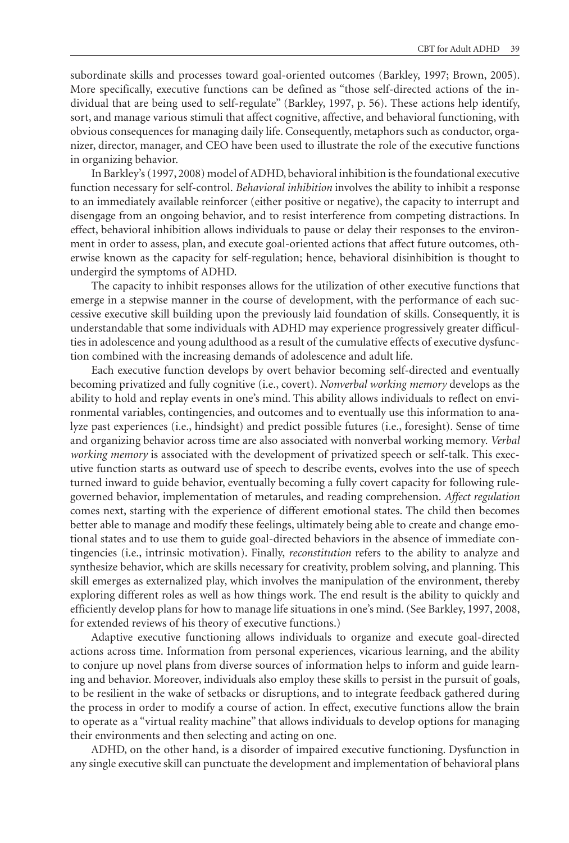subordinate skills and processes toward goal-oriented outcomes (Barkley, 1997; Brown, 2005). More specifically, executive functions can be defined as "those self-directed actions of the individual that are being used to self-regulate" (Barkley, 1997, p. 56). These actions help identify, sort, and manage various stimuli that affect cognitive, affective, and behavioral functioning, with obvious consequences for managing daily life. Consequently, metaphors such as conductor, organizer, director, manager, and CEO have been used to illustrate the role of the executive functions in organizing behavior.

In Barkley's (1997, 2008) model of ADHD, behavioral inhibition is the foundational executive function necessary for self-control. *Behavioral inhibition* involves the ability to inhibit a response to an immediately available reinforcer (either positive or negative), the capacity to interrupt and disengage from an ongoing behavior, and to resist interference from competing distractions. In effect, behavioral inhibition allows individuals to pause or delay their responses to the environment in order to assess, plan, and execute goal-oriented actions that affect future outcomes, otherwise known as the capacity for self-regulation; hence, behavioral disinhibition is thought to undergird the symptoms of ADHD.

The capacity to inhibit responses allows for the utilization of other executive functions that emerge in a stepwise manner in the course of development, with the performance of each successive executive skill building upon the previously laid foundation of skills. Consequently, it is understandable that some individuals with ADHD may experience progressively greater difficulties in adolescence and young adulthood as a result of the cumulative effects of executive dysfunction combined with the increasing demands of adolescence and adult life.

Each executive function develops by overt behavior becoming self-directed and eventually becoming privatized and fully cognitive (i.e., covert). *Nonverbal working memory* develops as the ability to hold and replay events in one's mind. This ability allows individuals to reflect on environmental variables, contingencies, and outcomes and to eventually use this information to analyze past experiences (i.e., hindsight) and predict possible futures (i.e., foresight). Sense of time and organizing behavior across time are also associated with nonverbal working memory. *Verbal working memory* is associated with the development of privatized speech or self-talk. This executive function starts as outward use of speech to describe events, evolves into the use of speech turned inward to guide behavior, eventually becoming a fully covert capacity for following rulegoverned behavior, implementation of metarules, and reading comprehension. *Affect regulation* comes next, starting with the experience of different emotional states. The child then becomes better able to manage and modify these feelings, ultimately being able to create and change emotional states and to use them to guide goal-directed behaviors in the absence of immediate contingencies (i.e., intrinsic motivation). Finally, *reconstitution* refers to the ability to analyze and synthesize behavior, which are skills necessary for creativity, problem solving, and planning. This skill emerges as externalized play, which involves the manipulation of the environment, thereby exploring different roles as well as how things work. The end result is the ability to quickly and efficiently develop plans for how to manage life situations in one's mind. (See Barkley, 1997, 2008, for extended reviews of his theory of executive functions.)

Adaptive executive functioning allows individuals to organize and execute goal-directed actions across time. Information from personal experiences, vicarious learning, and the ability to conjure up novel plans from diverse sources of information helps to inform and guide learning and behavior. Moreover, individuals also employ these skills to persist in the pursuit of goals, to be resilient in the wake of setbacks or disruptions, and to integrate feedback gathered during the process in order to modify a course of action. In effect, executive functions allow the brain to operate as a "virtual reality machine" that allows individuals to develop options for managing their environments and then selecting and acting on one.

ADHD, on the other hand, is a disorder of impaired executive functioning. Dysfunction in any single executive skill can punctuate the development and implementation of behavioral plans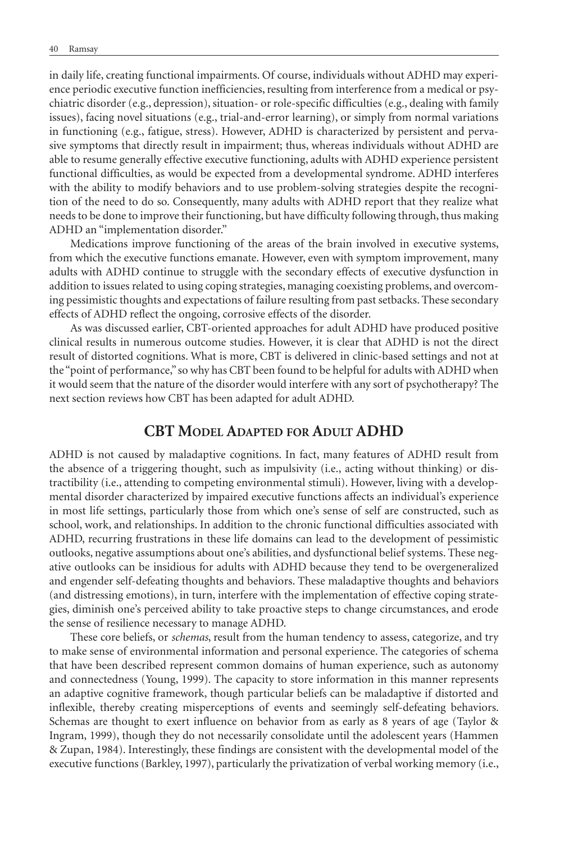in daily life, creating functional impairments. Of course, individuals without ADHD may experience periodic executive function inefficiencies, resulting from interference from a medical or psychiatric disorder (e.g., depression), situation- or role-specific difficulties (e.g., dealing with family issues), facing novel situations (e.g., trial-and-error learning), or simply from normal variations in functioning (e.g., fatigue, stress). However, ADHD is characterized by persistent and pervasive symptoms that directly result in impairment; thus, whereas individuals without ADHD are able to resume generally effective executive functioning, adults with ADHD experience persistent functional difficulties, as would be expected from a developmental syndrome. ADHD interferes with the ability to modify behaviors and to use problem-solving strategies despite the recognition of the need to do so. Consequently, many adults with ADHD report that they realize what needs to be done to improve their functioning, but have difficulty following through, thus making ADHD an "implementation disorder."

Medications improve functioning of the areas of the brain involved in executive systems, from which the executive functions emanate. However, even with symptom improvement, many adults with ADHD continue to struggle with the secondary effects of executive dysfunction in addition to issues related to using coping strategies, managing coexisting problems, and overcoming pessimistic thoughts and expectations of failure resulting from past setbacks. These secondary effects of ADHD reflect the ongoing, corrosive effects of the disorder.

As was discussed earlier, CBT-oriented approaches for adult ADHD have produced positive clinical results in numerous outcome studies. However, it is clear that ADHD is not the direct result of distorted cognitions. What is more, CBT is delivered in clinic-based settings and not at the "point of performance," so why has CBT been found to be helpful for adults with ADHD when it would seem that the nature of the disorder would interfere with any sort of psychotherapy? The next section reviews how CBT has been adapted for adult ADHD.

#### **CBT MODEL ADAPTED FOR ADULT ADHD**

ADHD is not caused by maladaptive cognitions. In fact, many features of ADHD result from the absence of a triggering thought, such as impulsivity (i.e., acting without thinking) or distractibility (i.e., attending to competing environmental stimuli). However, living with a developmental disorder characterized by impaired executive functions affects an individual's experience in most life settings, particularly those from which one's sense of self are constructed, such as school, work, and relationships. In addition to the chronic functional difficulties associated with ADHD, recurring frustrations in these life domains can lead to the development of pessimistic outlooks, negative assumptions about one's abilities, and dysfunctional belief systems. These negative outlooks can be insidious for adults with ADHD because they tend to be overgeneralized and engender self-defeating thoughts and behaviors. These maladaptive thoughts and behaviors (and distressing emotions), in turn, interfere with the implementation of effective coping strategies, diminish one's perceived ability to take proactive steps to change circumstances, and erode the sense of resilience necessary to manage ADHD.

These core beliefs, or *schemas*, result from the human tendency to assess, categorize, and try to make sense of environmental information and personal experience. The categories of schema that have been described represent common domains of human experience, such as autonomy and connectedness (Young, 1999). The capacity to store information in this manner represents an adaptive cognitive framework, though particular beliefs can be maladaptive if distorted and inflexible, thereby creating misperceptions of events and seemingly self-defeating behaviors. Schemas are thought to exert influence on behavior from as early as 8 years of age (Taylor & Ingram, 1999), though they do not necessarily consolidate until the adolescent years (Hammen & Zupan, 1984). Interestingly, these findings are consistent with the developmental model of the executive functions (Barkley, 1997), particularly the privatization of verbal working memory (i.e.,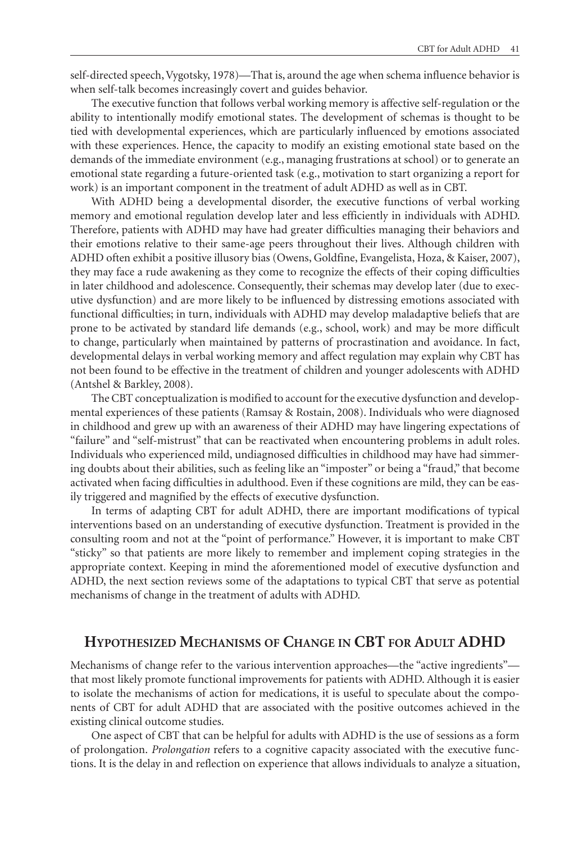self-directed speech, Vygotsky, 1978)—That is, around the age when schema influence behavior is when self-talk becomes increasingly covert and guides behavior.

The executive function that follows verbal working memory is affective self-regulation or the ability to intentionally modify emotional states. The development of schemas is thought to be tied with developmental experiences, which are particularly influenced by emotions associated with these experiences. Hence, the capacity to modify an existing emotional state based on the demands of the immediate environment (e.g., managing frustrations at school) or to generate an emotional state regarding a future-oriented task (e.g., motivation to start organizing a report for work) is an important component in the treatment of adult ADHD as well as in CBT.

With ADHD being a developmental disorder, the executive functions of verbal working memory and emotional regulation develop later and less efficiently in individuals with ADHD. Therefore, patients with ADHD may have had greater difficulties managing their behaviors and their emotions relative to their same-age peers throughout their lives. Although children with ADHD often exhibit a positive illusory bias (Owens, Goldfine, Evangelista, Hoza, & Kaiser, 2007), they may face a rude awakening as they come to recognize the effects of their coping difficulties in later childhood and adolescence. Consequently, their schemas may develop later (due to executive dysfunction) and are more likely to be influenced by distressing emotions associated with functional difficulties; in turn, individuals with ADHD may develop maladaptive beliefs that are prone to be activated by standard life demands (e.g., school, work) and may be more difficult to change, particularly when maintained by patterns of procrastination and avoidance. In fact, developmental delays in verbal working memory and affect regulation may explain why CBT has not been found to be effective in the treatment of children and younger adolescents with ADHD (Antshel & Barkley, 2008).

The CBT conceptualization is modified to account for the executive dysfunction and developmental experiences of these patients (Ramsay & Rostain, 2008). Individuals who were diagnosed in childhood and grew up with an awareness of their ADHD may have lingering expectations of "failure" and "self-mistrust" that can be reactivated when encountering problems in adult roles. Individuals who experienced mild, undiagnosed difficulties in childhood may have had simmering doubts about their abilities, such as feeling like an "imposter" or being a "fraud," that become activated when facing difficulties in adulthood. Even if these cognitions are mild, they can be easily triggered and magnified by the effects of executive dysfunction.

In terms of adapting CBT for adult ADHD, there are important modifications of typical interventions based on an understanding of executive dysfunction. Treatment is provided in the consulting room and not at the "point of performance." However, it is important to make CBT "sticky" so that patients are more likely to remember and implement coping strategies in the appropriate context. Keeping in mind the aforementioned model of executive dysfunction and ADHD, the next section reviews some of the adaptations to typical CBT that serve as potential mechanisms of change in the treatment of adults with ADHD.

### **HYPOTHESIZED MECHANISMS OF CHANGE IN CBT FOR ADULT ADHD**

Mechanisms of change refer to the various intervention approaches—the "active ingredients" that most likely promote functional improvements for patients with ADHD. Although it is easier to isolate the mechanisms of action for medications, it is useful to speculate about the components of CBT for adult ADHD that are associated with the positive outcomes achieved in the existing clinical outcome studies.

One aspect of CBT that can be helpful for adults with ADHD is the use of sessions as a form of prolongation. *Prolongation* refers to a cognitive capacity associated with the executive functions. It is the delay in and reflection on experience that allows individuals to analyze a situation,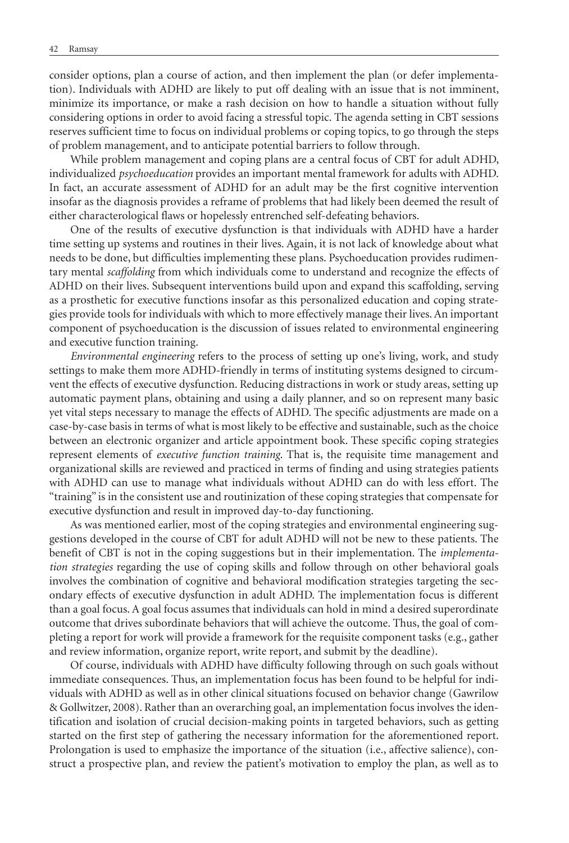consider options, plan a course of action, and then implement the plan (or defer implementation). Individuals with ADHD are likely to put off dealing with an issue that is not imminent, minimize its importance, or make a rash decision on how to handle a situation without fully considering options in order to avoid facing a stressful topic. The agenda setting in CBT sessions reserves sufficient time to focus on individual problems or coping topics, to go through the steps of problem management, and to anticipate potential barriers to follow through.

While problem management and coping plans are a central focus of CBT for adult ADHD, individualized *psychoeducation* provides an important mental framework for adults with ADHD. In fact, an accurate assessment of ADHD for an adult may be the first cognitive intervention insofar as the diagnosis provides a reframe of problems that had likely been deemed the result of either characterological flaws or hopelessly entrenched self-defeating behaviors.

One of the results of executive dysfunction is that individuals with ADHD have a harder time setting up systems and routines in their lives. Again, it is not lack of knowledge about what needs to be done, but difficulties implementing these plans. Psychoeducation provides rudimentary mental *scaffolding* from which individuals come to understand and recognize the effects of ADHD on their lives. Subsequent interventions build upon and expand this scaffolding, serving as a prosthetic for executive functions insofar as this personalized education and coping strategies provide tools for individuals with which to more effectively manage their lives. An important component of psychoeducation is the discussion of issues related to environmental engineering and executive function training.

*Environmental engineering* refers to the process of setting up one's living, work, and study settings to make them more ADHD-friendly in terms of instituting systems designed to circumvent the effects of executive dysfunction. Reducing distractions in work or study areas, setting up automatic payment plans, obtaining and using a daily planner, and so on represent many basic yet vital steps necessary to manage the effects of ADHD. The specific adjustments are made on a case-by-case basis in terms of what is most likely to be effective and sustainable, such as the choice between an electronic organizer and article appointment book. These specific coping strategies represent elements of *executive function training*. That is, the requisite time management and organizational skills are reviewed and practiced in terms of finding and using strategies patients with ADHD can use to manage what individuals without ADHD can do with less effort. The "training" is in the consistent use and routinization of these coping strategies that compensate for executive dysfunction and result in improved day-to-day functioning.

As was mentioned earlier, most of the coping strategies and environmental engineering suggestions developed in the course of CBT for adult ADHD will not be new to these patients. The benefit of CBT is not in the coping suggestions but in their implementation. The *implementation strategies* regarding the use of coping skills and follow through on other behavioral goals involves the combination of cognitive and behavioral modification strategies targeting the secondary effects of executive dysfunction in adult ADHD. The implementation focus is different than a goal focus. A goal focus assumes that individuals can hold in mind a desired superordinate outcome that drives subordinate behaviors that will achieve the outcome. Thus, the goal of completing a report for work will provide a framework for the requisite component tasks (e.g., gather and review information, organize report, write report, and submit by the deadline).

Of course, individuals with ADHD have difficulty following through on such goals without immediate consequences. Thus, an implementation focus has been found to be helpful for individuals with ADHD as well as in other clinical situations focused on behavior change (Gawrilow & Gollwitzer, 2008). Rather than an overarching goal, an implementation focus involves the identification and isolation of crucial decision-making points in targeted behaviors, such as getting started on the first step of gathering the necessary information for the aforementioned report. Prolongation is used to emphasize the importance of the situation (i.e., affective salience), construct a prospective plan, and review the patient's motivation to employ the plan, as well as to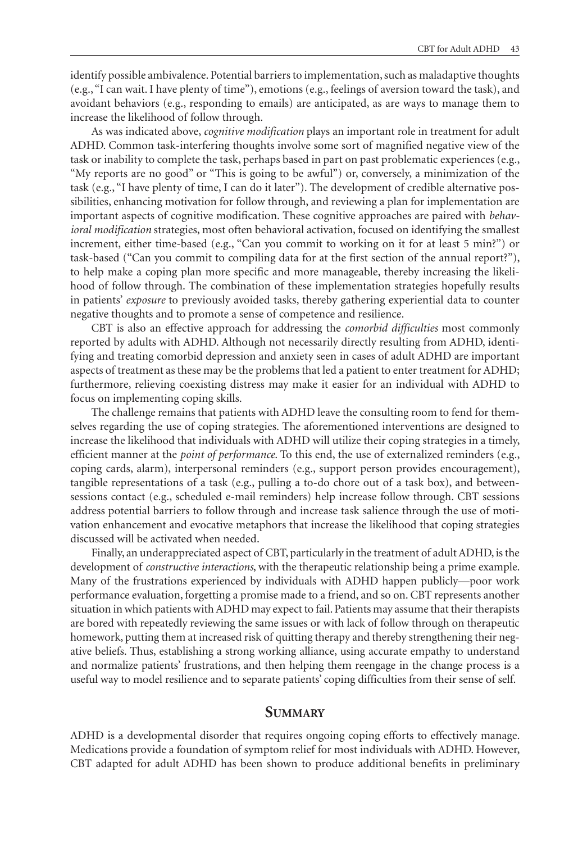identify possible ambivalence. Potential barriers to implementation, such as maladaptive thoughts (e.g., "I can wait. I have plenty of time"), emotions (e.g., feelings of aversion toward the task), and avoidant behaviors (e.g., responding to emails) are anticipated, as are ways to manage them to increase the likelihood of follow through.

As was indicated above, *cognitive modification* plays an important role in treatment for adult ADHD. Common task-interfering thoughts involve some sort of magnified negative view of the task or inability to complete the task, perhaps based in part on past problematic experiences (e.g., "My reports are no good" or "This is going to be awful") or, conversely, a minimization of the task (e.g., "I have plenty of time, I can do it later"). The development of credible alternative possibilities, enhancing motivation for follow through, and reviewing a plan for implementation are important aspects of cognitive modification. These cognitive approaches are paired with *behavioral modification* strategies, most often behavioral activation, focused on identifying the smallest increment, either time-based (e.g., "Can you commit to working on it for at least 5 min?") or task-based ("Can you commit to compiling data for at the first section of the annual report?"), to help make a coping plan more specific and more manageable, thereby increasing the likelihood of follow through. The combination of these implementation strategies hopefully results in patients' *exposure* to previously avoided tasks, thereby gathering experiential data to counter negative thoughts and to promote a sense of competence and resilience.

CBT is also an effective approach for addressing the *comorbid difficulties* most commonly reported by adults with ADHD. Although not necessarily directly resulting from ADHD, identifying and treating comorbid depression and anxiety seen in cases of adult ADHD are important aspects of treatment as these may be the problems that led a patient to enter treatment for ADHD; furthermore, relieving coexisting distress may make it easier for an individual with ADHD to focus on implementing coping skills.

The challenge remains that patients with ADHD leave the consulting room to fend for themselves regarding the use of coping strategies. The aforementioned interventions are designed to increase the likelihood that individuals with ADHD will utilize their coping strategies in a timely, efficient manner at the *point of performance*. To this end, the use of externalized reminders (e.g., coping cards, alarm), interpersonal reminders (e.g., support person provides encouragement), tangible representations of a task (e.g., pulling a to-do chore out of a task box), and betweensessions contact (e.g., scheduled e-mail reminders) help increase follow through. CBT sessions address potential barriers to follow through and increase task salience through the use of motivation enhancement and evocative metaphors that increase the likelihood that coping strategies discussed will be activated when needed.

Finally, an underappreciated aspect of CBT, particularly in the treatment of adult ADHD, is the development of *constructive interactions*, with the therapeutic relationship being a prime example. Many of the frustrations experienced by individuals with ADHD happen publicly—poor work performance evaluation, forgetting a promise made to a friend, and so on. CBT represents another situation in which patients with ADHD may expect to fail. Patients may assume that their therapists are bored with repeatedly reviewing the same issues or with lack of follow through on therapeutic homework, putting them at increased risk of quitting therapy and thereby strengthening their negative beliefs. Thus, establishing a strong working alliance, using accurate empathy to understand and normalize patients' frustrations, and then helping them reengage in the change process is a useful way to model resilience and to separate patients' coping difficulties from their sense of self.

#### **SUMMARY**

ADHD is a developmental disorder that requires ongoing coping efforts to effectively manage. Medications provide a foundation of symptom relief for most individuals with ADHD. However, CBT adapted for adult ADHD has been shown to produce additional benefits in preliminary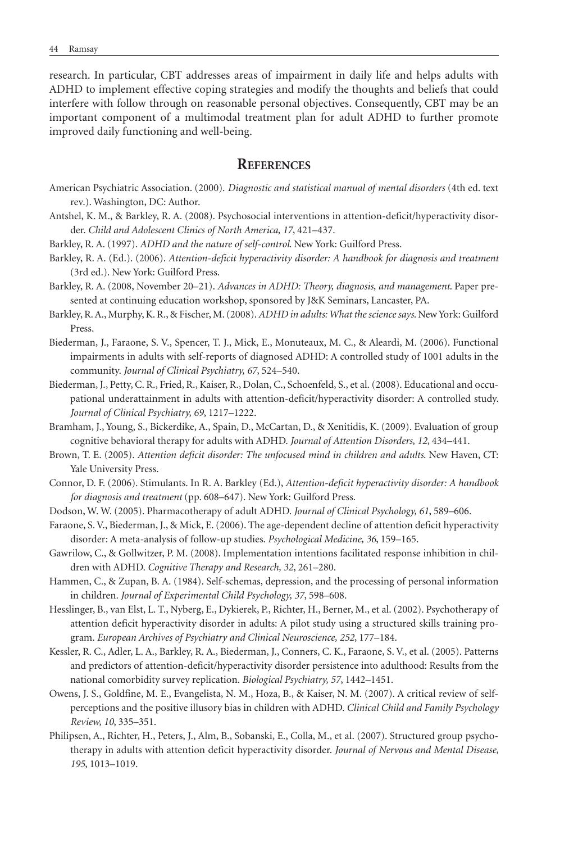research. In particular, CBT addresses areas of impairment in daily life and helps adults with ADHD to implement effective coping strategies and modify the thoughts and beliefs that could interfere with follow through on reasonable personal objectives. Consequently, CBT may be an important component of a multimodal treatment plan for adult ADHD to further promote improved daily functioning and well-being.

#### **REFERENCES**

- American Psychiatric Association. (2000). *Diagnostic and statistical manual of mental disorders* (4th ed. text rev.). Washington, DC: Author.
- Antshel, K. M., & Barkley, R. A. (2008). Psychosocial interventions in attention-deficit/hyperactivity disorder. *Child and Adolescent Clinics of North America, 17*, 421–437.
- Barkley, R. A. (1997). *ADHD and the nature of self-control*. New York: Guilford Press.
- Barkley, R. A. (Ed.). (2006). *Attention-deficit hyperactivity disorder: A handbook for diagnosis and treatment* (3rd ed.). New York: Guilford Press.
- Barkley, R. A. (2008, November 20–21). *Advances in ADHD: Theory, diagnosis, and management*. Paper presented at continuing education workshop, sponsored by J&K Seminars, Lancaster, PA.
- Barkley, R. A., Murphy, K. R., & Fischer, M. (2008). *ADHD in adults: What the science says*. New York: Guilford Press.
- Biederman, J., Faraone, S. V., Spencer, T. J., Mick, E., Monuteaux, M. C., & Aleardi, M. (2006). Functional impairments in adults with self-reports of diagnosed ADHD: A controlled study of 1001 adults in the community. *Journal of Clinical Psychiatry, 67*, 524–540.
- Biederman, J., Petty, C. R., Fried, R., Kaiser, R., Dolan, C., Schoenfeld, S., et al. (2008). Educational and occupational underattainment in adults with attention-deficit/hyperactivity disorder: A controlled study. *Journal of Clinical Psychiatry, 69*, 1217–1222.
- Bramham, J., Young, S., Bickerdike, A., Spain, D., McCartan, D., & Xenitidis, K. (2009). Evaluation of group cognitive behavioral therapy for adults with ADHD. *Journal of Attention Disorders, 12*, 434–441.
- Brown, T. E. (2005). *Attention deficit disorder: The unfocused mind in children and adults*. New Haven, CT: Yale University Press.
- Connor, D. F. (2006). Stimulants. In R. A. Barkley (Ed.), *Attention-deficit hyperactivity disorder: A handbook for diagnosis and treatment* (pp. 608–647). New York: Guilford Press.
- Dodson, W. W. (2005). Pharmacotherapy of adult ADHD. *Journal of Clinical Psychology, 61*, 589–606.
- Faraone, S. V., Biederman, J., & Mick, E. (2006). The age-dependent decline of attention deficit hyperactivity disorder: A meta-analysis of follow-up studies. *Psychological Medicine, 36*, 159–165.
- Gawrilow, C., & Gollwitzer, P. M. (2008). Implementation intentions facilitated response inhibition in children with ADHD. *Cognitive Therapy and Research, 32*, 261–280.
- Hammen, C., & Zupan, B. A. (1984). Self-schemas, depression, and the processing of personal information in children. *Journal of Experimental Child Psychology, 37*, 598–608.
- Hesslinger, B., van Elst, L. T., Nyberg, E., Dykierek, P., Richter, H., Berner, M., et al. (2002). Psychotherapy of attention deficit hyperactivity disorder in adults: A pilot study using a structured skills training program. *European Archives of Psychiatry and Clinical Neuroscience, 252*, 177–184.
- Kessler, R. C., Adler, L. A., Barkley, R. A., Biederman, J., Conners, C. K., Faraone, S. V., et al. (2005). Patterns and predictors of attention-deficit/hyperactivity disorder persistence into adulthood: Results from the national comorbidity survey replication. *Biological Psychiatry, 57*, 1442–1451.
- Owens, J. S., Goldfine, M. E., Evangelista, N. M., Hoza, B., & Kaiser, N. M. (2007). A critical review of selfperceptions and the positive illusory bias in children with ADHD. *Clinical Child and Family Psychology Review, 10*, 335–351.
- Philipsen, A., Richter, H., Peters, J., Alm, B., Sobanski, E., Colla, M., et al. (2007). Structured group psychotherapy in adults with attention deficit hyperactivity disorder. *Journal of Nervous and Mental Disease, 195*, 1013–1019.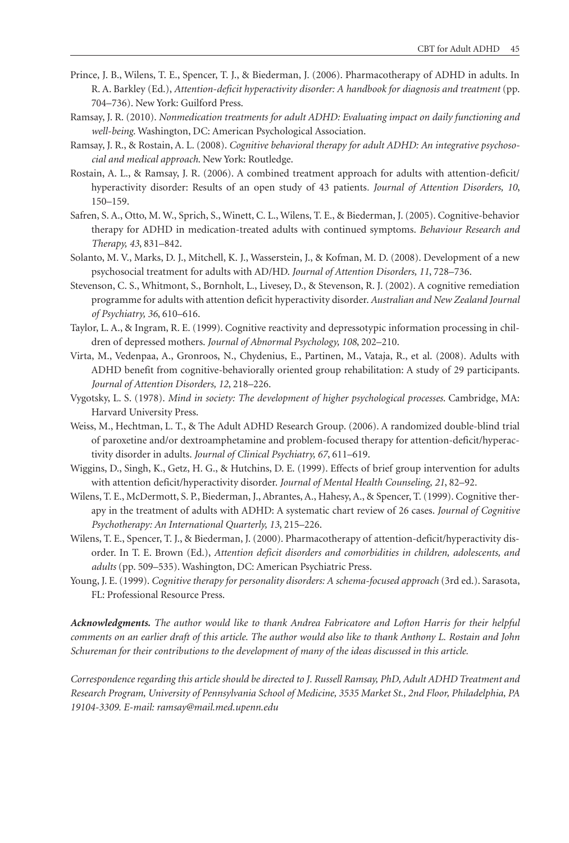- Prince, J. B., Wilens, T. E., Spencer, T. J., & Biederman, J. (2006). Pharmacotherapy of ADHD in adults. In R. A. Barkley (Ed.), *Attention-deficit hyperactivity disorder: A handbook for diagnosis and treatment* (pp. 704–736). New York: Guilford Press.
- Ramsay, J. R. (2010). *Nonmedication treatments for adult ADHD: Evaluating impact on daily functioning and well-being*. Washington, DC: American Psychological Association.
- Ramsay, J. R., & Rostain, A. L. (2008). *Cognitive behavioral therapy for adult ADHD: An integrative psychosocial and medical approach*. New York: Routledge.
- Rostain, A. L., & Ramsay, J. R. (2006). A combined treatment approach for adults with attention-deficit/ hyperactivity disorder: Results of an open study of 43 patients*. Journal of Attention Disorders, 10*, 150–159.
- Safren, S. A., Otto, M. W., Sprich, S., Winett, C. L., Wilens, T. E., & Biederman, J. (2005). Cognitive-behavior therapy for ADHD in medication-treated adults with continued symptoms. *Behaviour Research and Therapy, 43*, 831–842.
- Solanto, M. V., Marks, D. J., Mitchell, K. J., Wasserstein, J., & Kofman, M. D. (2008). Development of a new psychosocial treatment for adults with AD/HD. *Journal of Attention Disorders, 11*, 728–736.
- Stevenson, C. S., Whitmont, S., Bornholt, L., Livesey, D., & Stevenson, R. J. (2002). A cognitive remediation programme for adults with attention deficit hyperactivity disorder. *Australian and New Zealand Journal of Psychiatry, 36*, 610–616.
- Taylor, L. A., & Ingram, R. E. (1999). Cognitive reactivity and depressotypic information processing in children of depressed mothers. *Journal of Abnormal Psychology, 108*, 202–210.
- Virta, M., Vedenpaa, A., Gronroos, N., Chydenius, E., Partinen, M., Vataja, R., et al. (2008). Adults with ADHD benefit from cognitive-behaviorally oriented group rehabilitation: A study of 29 participants. *Journal of Attention Disorders, 12*, 218–226.
- Vygotsky, L. S. (1978). *Mind in society: The development of higher psychological processes*. Cambridge, MA: Harvard University Press.
- Weiss, M., Hechtman, L. T., & The Adult ADHD Research Group. (2006). A randomized double-blind trial of paroxetine and/or dextroamphetamine and problem-focused therapy for attention-deficit/hyperactivity disorder in adults. *Journal of Clinical Psychiatry, 67*, 611–619.
- Wiggins, D., Singh, K., Getz, H. G., & Hutchins, D. E. (1999). Effects of brief group intervention for adults with attention deficit/hyperactivity disorder. *Journal of Mental Health Counseling, 21*, 82–92.
- Wilens, T. E., McDermott, S. P., Biederman, J., Abrantes, A., Hahesy, A., & Spencer, T. (1999). Cognitive therapy in the treatment of adults with ADHD: A systematic chart review of 26 cases. *Journal of Cognitive Psychotherapy: An International Quarterly, 13*, 215–226.
- Wilens, T. E., Spencer, T. J., & Biederman, J. (2000). Pharmacotherapy of attention-deficit/hyperactivity disorder. In T. E. Brown (Ed.), *Attention deficit disorders and comorbidities in children, adolescents, and adults* (pp. 509–535). Washington, DC: American Psychiatric Press.
- Young, J. E. (1999). *Cognitive therapy for personality disorders: A schema-focused approach* (3rd ed.). Sarasota, FL: Professional Resource Press.

*Acknowledgments. The author would like to thank Andrea Fabricatore and Lofton Harris for their helpful comments on an earlier draft of this article. The author would also like to thank Anthony L. Rostain and John Schureman for their contributions to the development of many of the ideas discussed in this article.*

*Correspondence regarding this article should be directed to J. Russell Ramsay, PhD, Adult ADHD Treatment and Research Program, University of Pennsylvania School of Medicine, 3535 Market St., 2nd Floor, Philadelphia, PA 19104-3309. E-mail: ramsay@mail.med.upenn.edu*